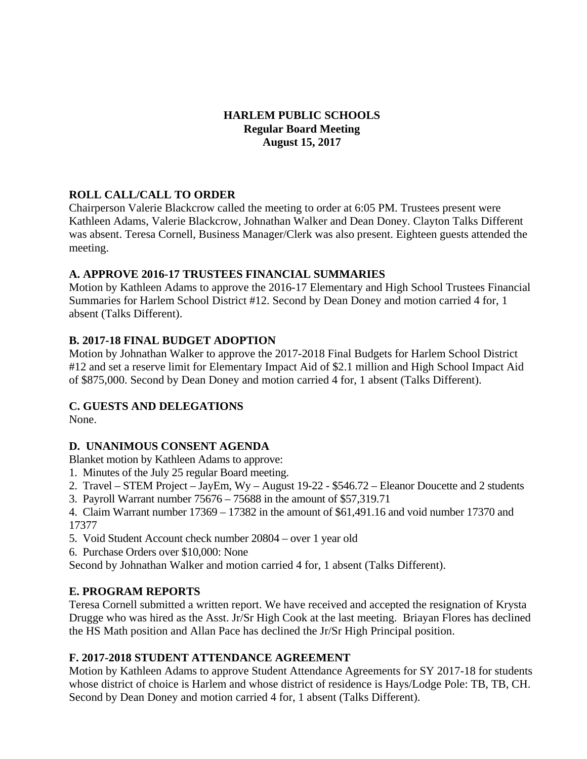## **HARLEM PUBLIC SCHOOLS Regular Board Meeting August 15, 2017**

## **ROLL CALL/CALL TO ORDER**

Chairperson Valerie Blackcrow called the meeting to order at 6:05 PM. Trustees present were Kathleen Adams, Valerie Blackcrow, Johnathan Walker and Dean Doney. Clayton Talks Different was absent. Teresa Cornell, Business Manager/Clerk was also present. Eighteen guests attended the meeting.

## **A. APPROVE 2016-17 TRUSTEES FINANCIAL SUMMARIES**

Motion by Kathleen Adams to approve the 2016-17 Elementary and High School Trustees Financial Summaries for Harlem School District #12. Second by Dean Doney and motion carried 4 for, 1 absent (Talks Different).

## **B. 2017-18 FINAL BUDGET ADOPTION**

Motion by Johnathan Walker to approve the 2017-2018 Final Budgets for Harlem School District #12 and set a reserve limit for Elementary Impact Aid of \$2.1 million and High School Impact Aid of \$875,000. Second by Dean Doney and motion carried 4 for, 1 absent (Talks Different).

# **C. GUESTS AND DELEGATIONS**

None.

# **D. UNANIMOUS CONSENT AGENDA**

Blanket motion by Kathleen Adams to approve:

- 1. Minutes of the July 25 regular Board meeting.
- 2. Travel STEM Project JayEm, Wy August 19-22 \$546.72 Eleanor Doucette and 2 students
- 3. Payroll Warrant number 75676 75688 in the amount of \$57,319.71
- 4. Claim Warrant number 17369 17382 in the amount of \$61,491.16 and void number 17370 and 17377
- 5. Void Student Account check number 20804 over 1 year old
- 6. Purchase Orders over \$10,000: None
- Second by Johnathan Walker and motion carried 4 for, 1 absent (Talks Different).

# **E. PROGRAM REPORTS**

Teresa Cornell submitted a written report. We have received and accepted the resignation of Krysta Drugge who was hired as the Asst. Jr/Sr High Cook at the last meeting. Briayan Flores has declined the HS Math position and Allan Pace has declined the Jr/Sr High Principal position.

# **F. 2017-2018 STUDENT ATTENDANCE AGREEMENT**

Motion by Kathleen Adams to approve Student Attendance Agreements for SY 2017-18 for students whose district of choice is Harlem and whose district of residence is Hays/Lodge Pole: TB, TB, CH. Second by Dean Doney and motion carried 4 for, 1 absent (Talks Different).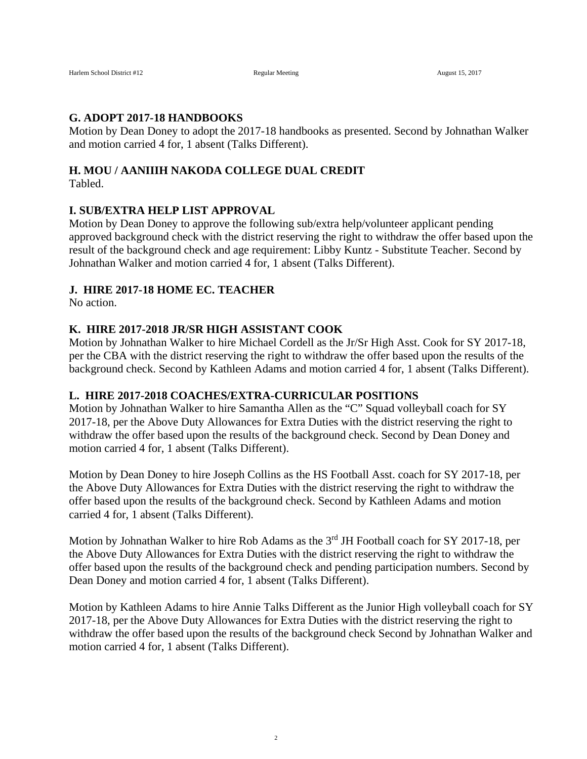#### **G. ADOPT 2017-18 HANDBOOKS**

Motion by Dean Doney to adopt the 2017-18 handbooks as presented. Second by Johnathan Walker and motion carried 4 for, 1 absent (Talks Different).

# **H. MOU / AANIIIH NAKODA COLLEGE DUAL CREDIT**

Tabled.

#### **I. SUB/EXTRA HELP LIST APPROVAL**

Motion by Dean Doney to approve the following sub/extra help/volunteer applicant pending approved background check with the district reserving the right to withdraw the offer based upon the result of the background check and age requirement: Libby Kuntz - Substitute Teacher. Second by Johnathan Walker and motion carried 4 for, 1 absent (Talks Different).

#### **J. HIRE 2017-18 HOME EC. TEACHER**

No action.

#### **K. HIRE 2017-2018 JR/SR HIGH ASSISTANT COOK**

Motion by Johnathan Walker to hire Michael Cordell as the Jr/Sr High Asst. Cook for SY 2017-18, per the CBA with the district reserving the right to withdraw the offer based upon the results of the background check. Second by Kathleen Adams and motion carried 4 for, 1 absent (Talks Different).

#### **L. HIRE 2017-2018 COACHES/EXTRA-CURRICULAR POSITIONS**

Motion by Johnathan Walker to hire Samantha Allen as the "C" Squad volleyball coach for SY 2017-18, per the Above Duty Allowances for Extra Duties with the district reserving the right to withdraw the offer based upon the results of the background check. Second by Dean Doney and motion carried 4 for, 1 absent (Talks Different).

Motion by Dean Doney to hire Joseph Collins as the HS Football Asst. coach for SY 2017-18, per the Above Duty Allowances for Extra Duties with the district reserving the right to withdraw the offer based upon the results of the background check. Second by Kathleen Adams and motion carried 4 for, 1 absent (Talks Different).

Motion by Johnathan Walker to hire Rob Adams as the 3<sup>rd</sup> JH Football coach for SY 2017-18, per the Above Duty Allowances for Extra Duties with the district reserving the right to withdraw the offer based upon the results of the background check and pending participation numbers. Second by Dean Doney and motion carried 4 for, 1 absent (Talks Different).

Motion by Kathleen Adams to hire Annie Talks Different as the Junior High volleyball coach for SY 2017-18, per the Above Duty Allowances for Extra Duties with the district reserving the right to withdraw the offer based upon the results of the background check Second by Johnathan Walker and motion carried 4 for, 1 absent (Talks Different).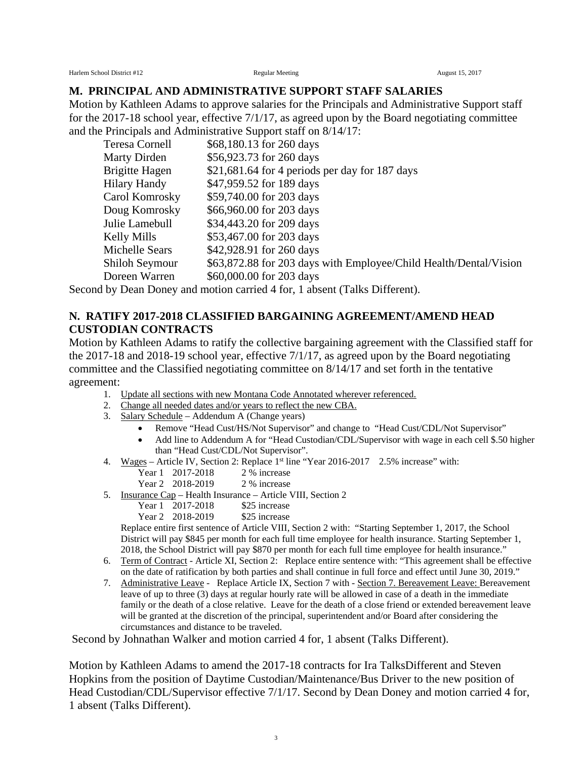Harlem School District #12 **Regular Meeting** Regular Meeting August 15, 2017

#### **M. PRINCIPAL AND ADMINISTRATIVE SUPPORT STAFF SALARIES**

Motion by Kathleen Adams to approve salaries for the Principals and Administrative Support staff for the 2017-18 school year, effective 7/1/17, as agreed upon by the Board negotiating committee and the Principals and Administrative Support staff on 8/14/17:

| Teresa Cornell        | \$68,180.13 for 260 days                                          |
|-----------------------|-------------------------------------------------------------------|
| Marty Dirden          | \$56,923.73 for 260 days                                          |
| <b>Brigitte Hagen</b> | $$21,681.64$ for 4 periods per day for 187 days                   |
| Hilary Handy          | \$47,959.52 for 189 days                                          |
| Carol Komrosky        | \$59,740.00 for 203 days                                          |
| Doug Komrosky         | \$66,960.00 for 203 days                                          |
| Julie Lamebull        | \$34,443.20 for 209 days                                          |
| Kelly Mills           | \$53,467.00 for 203 days                                          |
| Michelle Sears        | \$42,928.91 for 260 days                                          |
| Shiloh Seymour        | \$63,872.88 for 203 days with Employee/Child Health/Dental/Vision |
| Doreen Warren         | \$60,000.00 for 203 days                                          |
|                       |                                                                   |

Second by Dean Doney and motion carried 4 for, 1 absent (Talks Different).

#### **N. RATIFY 2017-2018 CLASSIFIED BARGAINING AGREEMENT/AMEND HEAD CUSTODIAN CONTRACTS**

Motion by Kathleen Adams to ratify the collective bargaining agreement with the Classified staff for the 2017-18 and 2018-19 school year, effective 7/1/17, as agreed upon by the Board negotiating committee and the Classified negotiating committee on 8/14/17 and set forth in the tentative agreement:

- 1. Update all sections with new Montana Code Annotated wherever referenced.
- 2. Change all needed dates and/or years to reflect the new CBA.
- 3. Salary Schedule Addendum A (Change years)
	- Remove "Head Cust/HS/Not Supervisor" and change to "Head Cust/CDL/Not Supervisor"
	- Add line to Addendum A for "Head Custodian/CDL/Supervisor with wage in each cell \$.50 higher than "Head Cust/CDL/Not Supervisor".
- 4. Wages Article IV, Section 2: Replace 1st line "Year 2016-2017 2.5% increase" with:
	- Year 1 2017-2018 2 % increase
	- Year 2 2018-2019 2 % increase
- 5. Insurance Cap Health Insurance Article VIII, Section 2
	- Year 1 2017-2018 \$25 increase<br>Year 2 2018-2019 \$25 increase
	- Year 2  $2018 2019$

Replace entire first sentence of Article VIII, Section 2 with: "Starting September 1, 2017, the School District will pay \$845 per month for each full time employee for health insurance. Starting September 1, 2018, the School District will pay \$870 per month for each full time employee for health insurance."

- 6. Term of Contract Article XI, Section 2: Replace entire sentence with: "This agreement shall be effective on the date of ratification by both parties and shall continue in full force and effect until June 30, 2019."
- 7. Administrative Leave Replace Article IX, Section 7 with Section 7. Bereavement Leave: Bereavement leave of up to three (3) days at regular hourly rate will be allowed in case of a death in the immediate family or the death of a close relative. Leave for the death of a close friend or extended bereavement leave will be granted at the discretion of the principal, superintendent and/or Board after considering the circumstances and distance to be traveled.

Second by Johnathan Walker and motion carried 4 for, 1 absent (Talks Different).

Motion by Kathleen Adams to amend the 2017-18 contracts for Ira TalksDifferent and Steven Hopkins from the position of Daytime Custodian/Maintenance/Bus Driver to the new position of Head Custodian/CDL/Supervisor effective 7/1/17. Second by Dean Doney and motion carried 4 for, 1 absent (Talks Different).